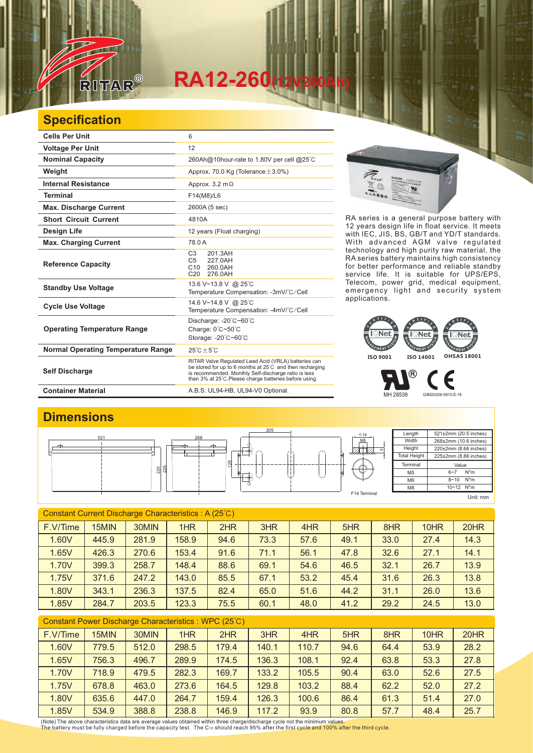

## **RA12-260(12V260Ah)**

## **Specification**

| <b>Cells Per Unit</b>                     | 6                                                                                                                                                                                                                                  |
|-------------------------------------------|------------------------------------------------------------------------------------------------------------------------------------------------------------------------------------------------------------------------------------|
| <b>Voltage Per Unit</b>                   | 12                                                                                                                                                                                                                                 |
| <b>Nominal Capacity</b>                   | 260Ah@10hour-rate to 1.80V per cell @25°C                                                                                                                                                                                          |
| Weight                                    | Approx. 70.0 Kg (Tolerance $\pm$ 3.0%)                                                                                                                                                                                             |
| <b>Internal Resistance</b>                | Approx. $3.2 \text{ m}\Omega$                                                                                                                                                                                                      |
| <b>Terminal</b>                           | F14(M8)/L6                                                                                                                                                                                                                         |
| <b>Max. Discharge Current</b>             | 2600A (5 sec)                                                                                                                                                                                                                      |
| <b>Short Circuit Current</b>              | 4810A                                                                                                                                                                                                                              |
| Design Life                               | 12 years (Float charging)                                                                                                                                                                                                          |
| <b>Max. Charging Current</b>              | 78.0 A                                                                                                                                                                                                                             |
| <b>Reference Capacity</b>                 | C <sub>3</sub><br>201.3AH<br>C <sub>5</sub><br>227.0AH<br>C10 260.0AH<br>C <sub>20</sub><br>276.0AH                                                                                                                                |
| <b>Standby Use Voltage</b>                | 13.6 V~13.8 V @ 25°C<br>Temperature Compensation: -3mV/°C/Cell                                                                                                                                                                     |
| <b>Cycle Use Voltage</b>                  | 14.6 V~14.8 V @ 25°C<br>Temperature Compensation: -4mV/°C/Cell                                                                                                                                                                     |
| <b>Operating Temperature Range</b>        | Discharge: -20°C~60°C<br>Charge: 0°C~50°C<br>Storage: -20°C~60°C                                                                                                                                                                   |
| <b>Normal Operating Temperature Range</b> | $25^{\circ}$ C + 5 $^{\circ}$ C                                                                                                                                                                                                    |
| <b>Self Discharge</b>                     | RITAR Valve Regulated Lead Acid (VRLA) batteries can<br>be stored for up to 6 months at 25°C and then recharging<br>is recommended. Monthly Self-discharge ratio is less<br>than 3% at 25°C. Please charge batteries before using. |
| <b>Container Material</b>                 | A.B.S. UL94-HB, UL94-V0 Optional.                                                                                                                                                                                                  |



RA series is a general purpose battery with 12 years design life in float service. It meets with IEC, JIS, BS, GB/T and YD/T standards. With advanced AGM valve regulated technology and high purity raw material, the RA series battery maintains high consistency for better performance and reliable standby service life. It is suitable for UPS/EPS, Telecom, power grid, medical equipment, emergency light and security system applications.



MH 28539 G4M20206-0910-E-16

Є

®

**Dimensions**



| Constant Current Discharge Characteristics: A (25°C) |       |       |       |      |      |      |      |      |      |      |
|------------------------------------------------------|-------|-------|-------|------|------|------|------|------|------|------|
| F.V/Time                                             | 15MIN | 30MIN | 1HR   | 2HR  | 3HR  | 4HR  | 5HR  | 8HR  | 10HR | 20HR |
| 1.60V                                                | 445.9 | 281.9 | 158.9 | 94.6 | 73.3 | 57.6 | 49.1 | 33.0 | 27.4 | 14.3 |
| 1.65V                                                | 426.3 | 270.6 | 153.4 | 91.6 | 71.1 | 56.1 | 47.8 | 32.6 | 27.1 | 14.1 |
| 1.70V                                                | 399.3 | 258.7 | 148.4 | 88.6 | 69.1 | 54.6 | 46.5 | 32.1 | 26.7 | 13.9 |
| 1.75V                                                | 371.6 | 247.2 | 143.0 | 85.5 | 67.1 | 53.2 | 45.4 | 31.6 | 26.3 | 13.8 |
| 1.80V                                                | 343.1 | 236.3 | 137.5 | 82.4 | 65.0 | 51.6 | 44.2 | 31.1 | 26.0 | 13.6 |
| 1.85V                                                | 284.7 | 203.5 | 123.3 | 75.5 | 60.1 | 48.0 | 41.2 | 29.2 | 24.5 | 13.0 |

| Constant Power Discharge Characteristics: WPC (25°C) |       |       |       |       |       |       |      |      |      |      |
|------------------------------------------------------|-------|-------|-------|-------|-------|-------|------|------|------|------|
| F.V/Time                                             | 15MIN | 30MIN | 1HR   | 2HR   | 3HR   | 4HR   | 5HR  | 8HR  | 10HR | 20HR |
| 1.60V                                                | 779.5 | 512.0 | 298.5 | 179.4 | 140.1 | 110.7 | 94.6 | 64.4 | 53.9 | 28.2 |
| 1.65V                                                | 756.3 | 496.7 | 289.9 | 174.5 | 136.3 | 108.1 | 92.4 | 63.8 | 53.3 | 27.8 |
| 1.70V                                                | 718.9 | 479.5 | 282.3 | 169.7 | 133.2 | 105.5 | 90.4 | 63.0 | 52.6 | 27.5 |
| 1.75V                                                | 678.8 | 463.0 | 273.6 | 164.5 | 129.8 | 103.2 | 88.4 | 62.2 | 52.0 | 27.2 |
| 1.80V                                                | 635.6 | 447.0 | 264.7 | 159.4 | 126.3 | 100.6 | 86.4 | 61.3 | 51.4 | 27.0 |
| 1.85V                                                | 534.9 | 388.8 | 238.8 | 146.9 | 117.2 | 93.9  | 80.8 | 57.7 | 48.4 | 25.7 |

(Note) The above characteristics data are average values obtained within three charge/discharge cycle not the minimum values.<br>The battery must be fully charged before the capacity test. The C10 should reach 95% after the